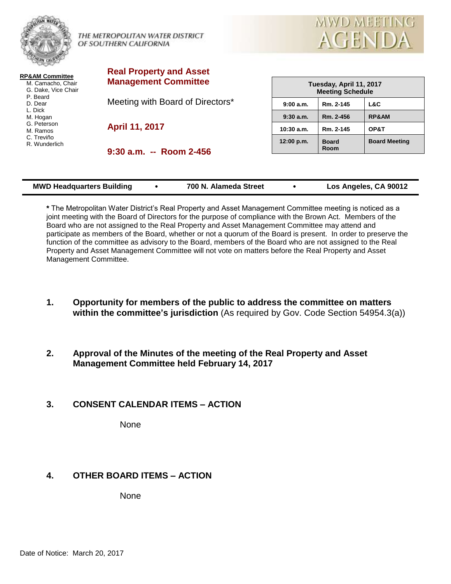



**RP&AM Committee** M. Camacho, Chair G. Dake, Vice Chair P. Beard D. Dear L. Dick M. Hogan G. Peterson M. Ramos C. Treviño R. Wunderlich

**Real Property and Asset Management Committee**

Meeting with Board of Directors\*

**April 11, 2017**

**9:30 a.m. -- Room 2-456**

| Tuesday, April 11, 2017<br><b>Meeting Schedule</b> |                      |                      |  |  |  |
|----------------------------------------------------|----------------------|----------------------|--|--|--|
| 9:00a.m.                                           | Rm. 2-145            | L&C                  |  |  |  |
| $9:30$ a.m.                                        | Rm. 2-456            | <b>RP&amp;AM</b>     |  |  |  |
| $10:30$ a.m.                                       | Rm. 2-145            | OP&T                 |  |  |  |
| 12:00 p.m.                                         | <b>Board</b><br>Room | <b>Board Meeting</b> |  |  |  |

| <b>MWD Headquarters Building</b> | 700 N. Alameda Street | Los Angeles, CA 90012 |
|----------------------------------|-----------------------|-----------------------|

**\*** The Metropolitan Water District's Real Property and Asset Management Committee meeting is noticed as a joint meeting with the Board of Directors for the purpose of compliance with the Brown Act. Members of the Board who are not assigned to the Real Property and Asset Management Committee may attend and participate as members of the Board, whether or not a quorum of the Board is present. In order to preserve the function of the committee as advisory to the Board, members of the Board who are not assigned to the Real Property and Asset Management Committee will not vote on matters before the Real Property and Asset Management Committee.

- **1. Opportunity for members of the public to address the committee on matters within the committee's jurisdiction** (As required by Gov. Code Section 54954.3(a))
- **2. Approval of the Minutes of the meeting of the Real Property and Asset Management Committee held February 14, 2017**

## **3. CONSENT CALENDAR ITEMS – ACTION**

**None** 

# **4. OTHER BOARD ITEMS – ACTION**

None